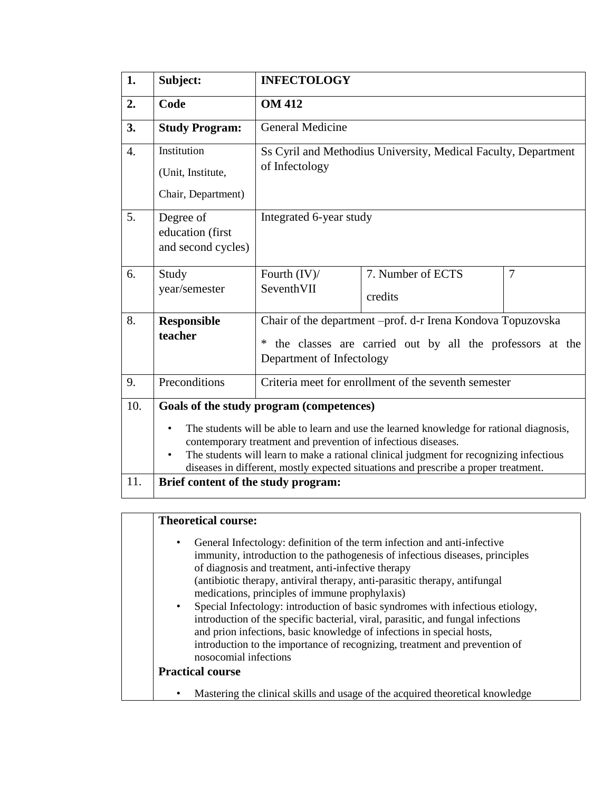| 1.               | Subject:                                                                                                                                                                                                                                                                                                                                                                                             | <b>INFECTOLOGY</b>                                                                                                                                             |                                                                |   |  |  |
|------------------|------------------------------------------------------------------------------------------------------------------------------------------------------------------------------------------------------------------------------------------------------------------------------------------------------------------------------------------------------------------------------------------------------|----------------------------------------------------------------------------------------------------------------------------------------------------------------|----------------------------------------------------------------|---|--|--|
| 2.               | Code                                                                                                                                                                                                                                                                                                                                                                                                 | <b>OM 412</b>                                                                                                                                                  |                                                                |   |  |  |
| 3.               | <b>Study Program:</b>                                                                                                                                                                                                                                                                                                                                                                                | <b>General Medicine</b>                                                                                                                                        |                                                                |   |  |  |
| $\overline{4}$ . | Institution<br>(Unit, Institute,<br>Chair, Department)                                                                                                                                                                                                                                                                                                                                               | of Infectology                                                                                                                                                 | Ss Cyril and Methodius University, Medical Faculty, Department |   |  |  |
| 5.               | Degree of<br>education (first<br>and second cycles)                                                                                                                                                                                                                                                                                                                                                  | Integrated 6-year study                                                                                                                                        |                                                                |   |  |  |
| 6.               | Study<br>year/semester                                                                                                                                                                                                                                                                                                                                                                               | Fourth (IV)/<br>SeventhVII                                                                                                                                     | 7. Number of ECTS<br>credits                                   | 7 |  |  |
| 8.               | <b>Responsible</b><br>teacher                                                                                                                                                                                                                                                                                                                                                                        | Chair of the department -prof. d-r Irena Kondova Topuzovska<br>the classes are carried out by all the professors at the<br>$\ast$<br>Department of Infectology |                                                                |   |  |  |
| 9.               | Preconditions                                                                                                                                                                                                                                                                                                                                                                                        |                                                                                                                                                                | Criteria meet for enrollment of the seventh semester           |   |  |  |
| 10.              | Goals of the study program (competences)<br>The students will be able to learn and use the learned knowledge for rational diagnosis,<br>$\bullet$<br>contemporary treatment and prevention of infectious diseases.<br>The students will learn to make a rational clinical judgment for recognizing infectious<br>diseases in different, mostly expected situations and prescribe a proper treatment. |                                                                                                                                                                |                                                                |   |  |  |
| 11.              | Brief content of the study program:                                                                                                                                                                                                                                                                                                                                                                  |                                                                                                                                                                |                                                                |   |  |  |

| $\bullet$ | General Infectology: definition of the term infection and anti-infective                            |
|-----------|-----------------------------------------------------------------------------------------------------|
|           | immunity, introduction to the pathogenesis of infectious diseases, principles                       |
|           | of diagnosis and treatment, anti-infective therapy                                                  |
|           | (antibiotic therapy, antiviral therapy, anti-parasitic therapy, antifungal                          |
|           | medications, principles of immune prophylaxis)                                                      |
| $\bullet$ | Special Infectology: introduction of basic syndromes with infectious etiology,                      |
|           | introduction of the specific bacterial, viral, parasitic, and fungal infections                     |
|           | and prion infections, basic knowledge of infections in special hosts,                               |
|           | introduction to the importance of recognizing, treatment and prevention of<br>nosocomial infections |
|           | <b>Practical course</b>                                                                             |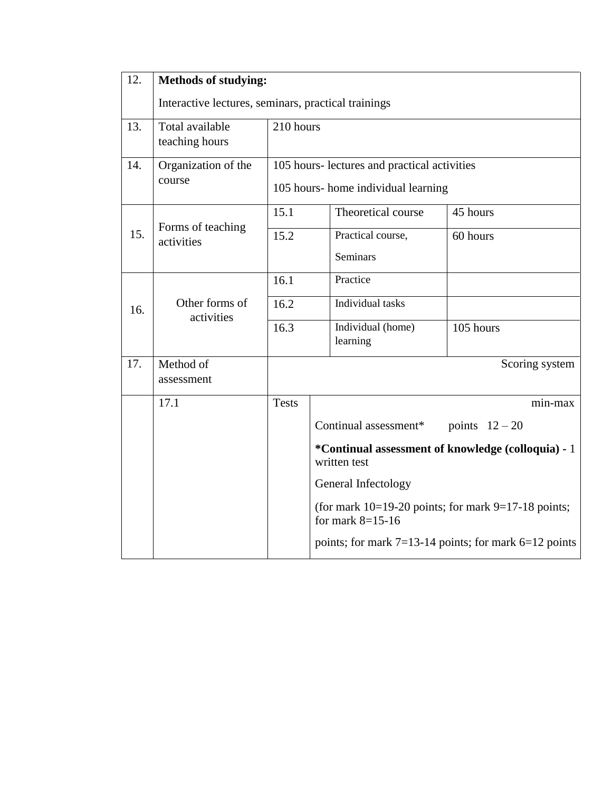| 12.                                                                           | <b>Methods of studying:</b>     |                                                     |                                                                                           |                       |                                                           |  |  |
|-------------------------------------------------------------------------------|---------------------------------|-----------------------------------------------------|-------------------------------------------------------------------------------------------|-----------------------|-----------------------------------------------------------|--|--|
|                                                                               |                                 | Interactive lectures, seminars, practical trainings |                                                                                           |                       |                                                           |  |  |
| 13.                                                                           | Total available                 | 210 hours                                           |                                                                                           |                       |                                                           |  |  |
|                                                                               | teaching hours                  |                                                     |                                                                                           |                       |                                                           |  |  |
| 14.                                                                           | Organization of the             | 105 hours-lectures and practical activities         |                                                                                           |                       |                                                           |  |  |
|                                                                               | course                          | 105 hours- home individual learning                 |                                                                                           |                       |                                                           |  |  |
|                                                                               | Forms of teaching<br>activities | 15.1                                                |                                                                                           | Theoretical course    | 45 hours                                                  |  |  |
| 15.                                                                           |                                 | 15.2                                                |                                                                                           | Practical course,     | 60 hours                                                  |  |  |
|                                                                               |                                 |                                                     |                                                                                           | <b>Seminars</b>       |                                                           |  |  |
|                                                                               |                                 | 16.1                                                |                                                                                           | Practice              |                                                           |  |  |
| 16.                                                                           | Other forms of<br>activities    | 16.2                                                |                                                                                           | Individual tasks      |                                                           |  |  |
|                                                                               |                                 | 16.3                                                |                                                                                           | Individual (home)     | 105 hours                                                 |  |  |
|                                                                               |                                 |                                                     |                                                                                           | learning              |                                                           |  |  |
| 17.                                                                           | Method of<br>assessment         |                                                     |                                                                                           |                       | Scoring system                                            |  |  |
|                                                                               | 17.1                            | <b>Tests</b>                                        |                                                                                           |                       | min-max                                                   |  |  |
|                                                                               |                                 |                                                     |                                                                                           | Continual assessment* | points $12-20$                                            |  |  |
|                                                                               |                                 |                                                     | *Continual assessment of knowledge (colloquia) - 1<br>written test<br>General Infectology |                       |                                                           |  |  |
|                                                                               |                                 |                                                     |                                                                                           |                       |                                                           |  |  |
| (for mark $10=19-20$ points; for mark $9=17-18$ points;<br>for mark $8=15-16$ |                                 |                                                     |                                                                                           |                       |                                                           |  |  |
|                                                                               |                                 |                                                     |                                                                                           |                       | points; for mark $7=13-14$ points; for mark $6=12$ points |  |  |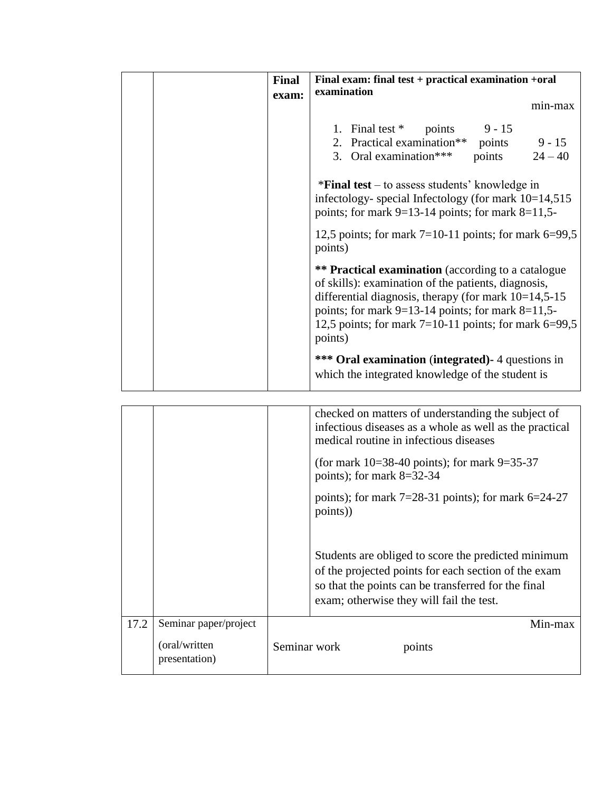| Final<br>exam: | Final exam: final test + practical examination +oral<br>examination                                                                                                                                                                                                                                           |
|----------------|---------------------------------------------------------------------------------------------------------------------------------------------------------------------------------------------------------------------------------------------------------------------------------------------------------------|
|                | min-max                                                                                                                                                                                                                                                                                                       |
|                | 1. Final test $*$ points 9 - 15<br>2. Practical examination** points 9 - 15<br>3. Oral examination***<br>points $24-40$                                                                                                                                                                                       |
|                | $*Final$ test – to assess students' knowledge in<br>infectology-special Infectology (for mark $10=14,515$ )<br>points; for mark $9=13-14$ points; for mark $8=11,5-$                                                                                                                                          |
|                | 12,5 points; for mark $7=10-11$ points; for mark $6=99,5$<br>points)                                                                                                                                                                                                                                          |
|                | <b>** Practical examination</b> (according to a catalogue<br>of skills): examination of the patients, diagnosis,<br>differential diagnosis, therapy (for mark $10=14,5-15$ )<br>points; for mark $9=13-14$ points; for mark $8=11,5-$<br>12,5 points; for mark $7=10-11$ points; for mark $6=99,5$<br>points) |
|                | <b>*** Oral examination (integrated)</b> - 4 questions in<br>which the integrated knowledge of the student is                                                                                                                                                                                                 |

|      |                                | checked on matters of understanding the subject of<br>infectious diseases as a whole as well as the practical<br>medical routine in infectious diseases                                                        |
|------|--------------------------------|----------------------------------------------------------------------------------------------------------------------------------------------------------------------------------------------------------------|
|      |                                | (for mark $10=38-40$ points); for mark $9=35-37$<br>points); for mark $8=32-34$                                                                                                                                |
|      |                                | points); for mark $7=28-31$ points); for mark $6=24-27$<br>points)                                                                                                                                             |
|      |                                | Students are obliged to score the predicted minimum<br>of the projected points for each section of the exam<br>so that the points can be transferred for the final<br>exam; otherwise they will fail the test. |
| 17.2 | Seminar paper/project          | Min-max                                                                                                                                                                                                        |
|      | (oral/written<br>presentation) | Seminar work<br>points                                                                                                                                                                                         |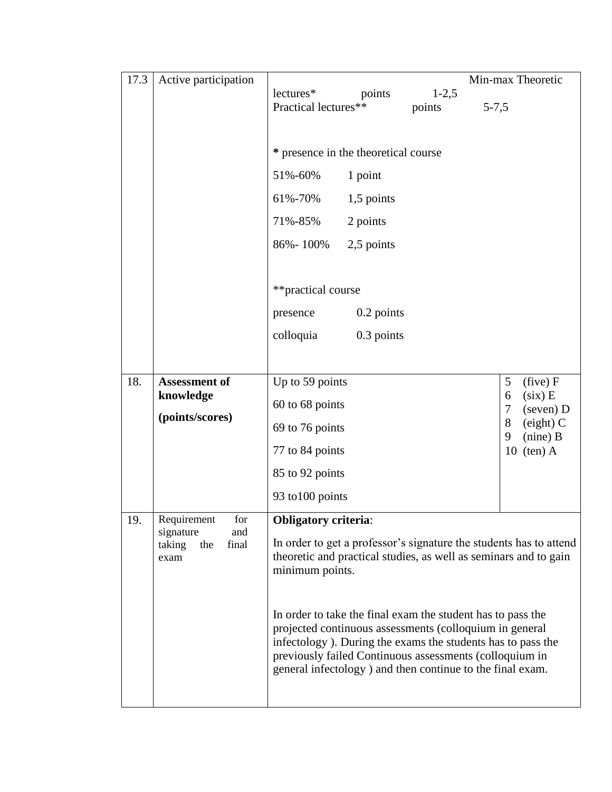| 17.3 | Active participation                                                     |                                                                                                                                                                                                                                                                                                                                                                                                                                                                                                            | Min-max Theoretic                                                                                        |
|------|--------------------------------------------------------------------------|------------------------------------------------------------------------------------------------------------------------------------------------------------------------------------------------------------------------------------------------------------------------------------------------------------------------------------------------------------------------------------------------------------------------------------------------------------------------------------------------------------|----------------------------------------------------------------------------------------------------------|
|      |                                                                          | lectures*<br>$1-2,5$<br>points<br>Practical lectures**<br>points<br>$5 - 7,5$                                                                                                                                                                                                                                                                                                                                                                                                                              |                                                                                                          |
|      |                                                                          | * presence in the theoretical course<br>51%-60%<br>1 point<br>61%-70%<br>1,5 points<br>2 points<br>71%-85%<br>86% - 100%<br>2,5 points<br>**practical course<br>0.2 points<br>presence<br>colloquia<br>0.3 points                                                                                                                                                                                                                                                                                          |                                                                                                          |
|      |                                                                          |                                                                                                                                                                                                                                                                                                                                                                                                                                                                                                            |                                                                                                          |
| 18.  | <b>Assessment of</b><br>knowledge<br>(points/scores)                     | Up to 59 points<br>60 to 68 points<br>69 to 76 points<br>77 to 84 points<br>85 to 92 points<br>93 to 100 points                                                                                                                                                                                                                                                                                                                                                                                            | 5<br>(five) F<br>$(six)$ E<br>6<br>7<br>(seven) D<br>8<br>$(eight)$ C<br>$(nine)$ B<br>9<br>$10$ (ten) A |
| 19.  | Requirement<br>for<br>signature<br>and<br>taking<br>final<br>the<br>exam | <b>Obligatory criteria:</b><br>In order to get a professor's signature the students has to attend<br>theoretic and practical studies, as well as seminars and to gain<br>minimum points.<br>In order to take the final exam the student has to pass the<br>projected continuous assessments (colloquium in general<br>infectology). During the exams the students has to pass the<br>previously failed Continuous assessments (colloquium in<br>general infectology ) and then continue to the final exam. |                                                                                                          |